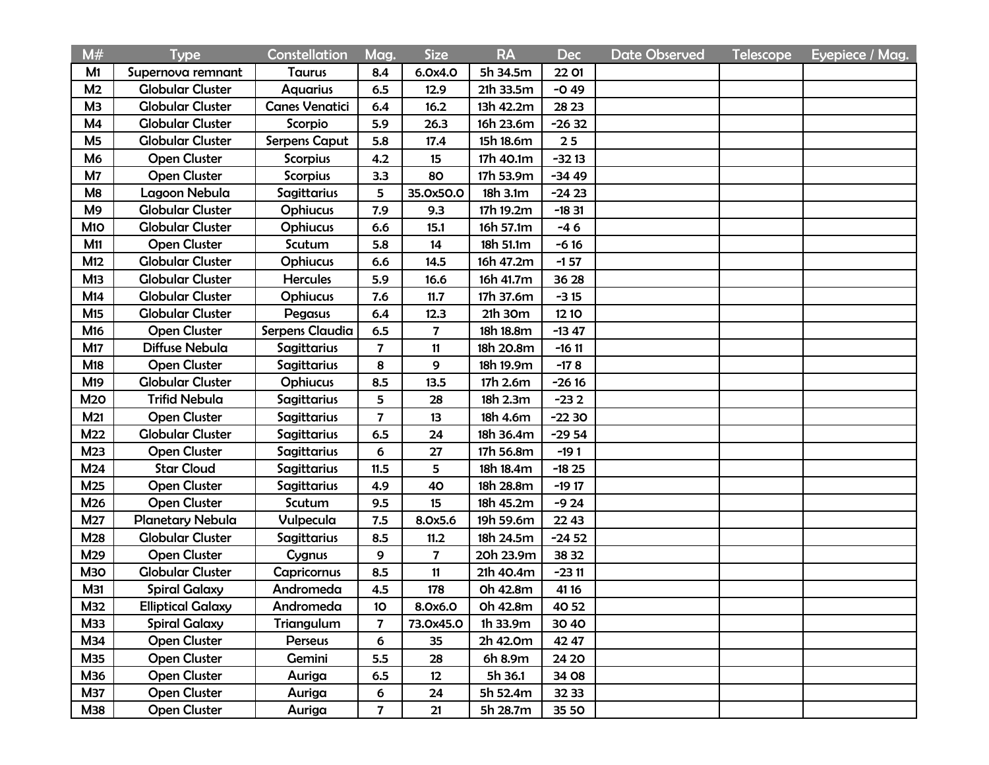| M#              | <b>Type</b>              | Constellation         | Mag.            | <b>Size</b>             | <b>RA</b> | <b>Dec</b> | <b>Date Observed</b> | <b>Telescope</b> | Eyepiece / Mag. |
|-----------------|--------------------------|-----------------------|-----------------|-------------------------|-----------|------------|----------------------|------------------|-----------------|
| M1              | Supernova remnant        | Taurus                | 8.4             | 6.0x4.0                 | 5h 34.5m  | 22 01      |                      |                  |                 |
| M <sub>2</sub>  | <b>Globular Cluster</b>  | <b>Aquarius</b>       | 6.5             | 12.9                    | 21h 33.5m | $-0.49$    |                      |                  |                 |
| M <sub>3</sub>  | <b>Globular Cluster</b>  | <b>Canes Venatici</b> | 6.4             | 16.2                    | 13h 42.2m | 28 23      |                      |                  |                 |
| M <sub>4</sub>  | <b>Globular Cluster</b>  | Scorpio               | 5.9             | 26.3                    | 16h 23.6m | $-2632$    |                      |                  |                 |
| M <sub>5</sub>  | <b>Globular Cluster</b>  | <b>Serpens Caput</b>  | 5.8             | 17.4                    | 15h 18.6m | 25         |                      |                  |                 |
| M <sub>6</sub>  | <b>Open Cluster</b>      | <b>Scorpius</b>       | 4.2             | 15                      | 17h 40.1m | $-3213$    |                      |                  |                 |
| M7              | <b>Open Cluster</b>      | <b>Scorpius</b>       | 3.3             | 80                      | 17h 53.9m | $-3449$    |                      |                  |                 |
| M <sub>8</sub>  | Lagoon Nebula            | Sagittarius           | 5               | 35.0x50.0               | 18h 3.1m  | $-2423$    |                      |                  |                 |
| M <sub>9</sub>  | <b>Globular Cluster</b>  | <b>Ophiucus</b>       | 7.9             | 9.3                     | 17h 19.2m | $-1831$    |                      |                  |                 |
| M <sub>10</sub> | <b>Globular Cluster</b>  | <b>Ophiucus</b>       | 6.6             | 15.1                    | 16h 57.1m | $-46$      |                      |                  |                 |
| M11             | <b>Open Cluster</b>      | Scutum                | 5.8             | 14                      | 18h 51.1m | $-616$     |                      |                  |                 |
| M12             | <b>Globular Cluster</b>  | <b>Ophiucus</b>       | 6.6             | 14.5                    | 16h 47.2m | $-157$     |                      |                  |                 |
| M13             | <b>Globular Cluster</b>  | <b>Hercules</b>       | 5.9             | 16.6                    | 16h 41.7m | 36 28      |                      |                  |                 |
| M14             | <b>Globular Cluster</b>  | Ophiucus              | 7.6             | 11.7                    | 17h 37.6m | $-315$     |                      |                  |                 |
| M <sub>15</sub> | <b>Globular Cluster</b>  | Pegasus               | 6.4             | 12.3                    | 21h 30m   | 12 10      |                      |                  |                 |
| M <sub>16</sub> | <b>Open Cluster</b>      | Serpens Claudia       | 6.5             | $\overline{\mathbf{7}}$ | 18h 18.8m | $-1347$    |                      |                  |                 |
| M17             | Diffuse Nebula           | Sagittarius           | 7               | 11                      | 18h 20.8m | $-1611$    |                      |                  |                 |
| M18             | <b>Open Cluster</b>      | Sagittarius           | 8               | 9                       | 18h 19.9m | $-178$     |                      |                  |                 |
| M <sub>19</sub> | <b>Globular Cluster</b>  | <b>Ophiucus</b>       | 8.5             | 13.5                    | 17h 2.6m  | $-2616$    |                      |                  |                 |
| <b>M20</b>      | <b>Trifid Nebula</b>     | Sagittarius           | 5               | 28                      | 18h 2.3m  | $-232$     |                      |                  |                 |
| M21             | <b>Open Cluster</b>      | <b>Sagittarius</b>    | $\overline{7}$  | 13                      | 18h 4.6m  | $-2230$    |                      |                  |                 |
| M22             | <b>Globular Cluster</b>  | Sagittarius           | 6.5             | 24                      | 18h 36.4m | $-2954$    |                      |                  |                 |
| M23             | <b>Open Cluster</b>      | Sagittarius           | 6               | 27                      | 17h 56.8m | $-191$     |                      |                  |                 |
| M24             | <b>Star Cloud</b>        | Sagittarius           | 11.5            | 5                       | 18h 18.4m | $-1825$    |                      |                  |                 |
| M25             | <b>Open Cluster</b>      | Sagittarius           | 4.9             | 40                      | 18h 28.8m | $-1917$    |                      |                  |                 |
| M26             | <b>Open Cluster</b>      | Scutum                | 9.5             | 15                      | 18h 45.2m | $-924$     |                      |                  |                 |
| M27             | Planetary Nebula         | Vulpecula             | 7.5             | 8.0x5.6                 | 19h 59.6m | 22 43      |                      |                  |                 |
| M28             | <b>Globular Cluster</b>  | <b>Sagittarius</b>    | 8.5             | 11.2                    | 18h 24.5m | $-2452$    |                      |                  |                 |
| M29             | <b>Open Cluster</b>      | Cygnus                | 9               | $\overline{\mathbf{7}}$ | 20h 23.9m | 38 32      |                      |                  |                 |
| МЗО             | <b>Globular Cluster</b>  | <b>Capricornus</b>    | 8.5             | 11                      | 21h 40.4m | $-2311$    |                      |                  |                 |
| M31             | <b>Spiral Galaxy</b>     | Andromeda             | 4.5             | 178                     | 0h 42.8m  | 41 16      |                      |                  |                 |
| M32             | <b>Elliptical Galaxy</b> | Andromeda             | 10 <sub>o</sub> | 8.0x6.0                 | Oh 42.8m  | 40 52      |                      |                  |                 |
| <b>M33</b>      | <b>Spiral Galaxy</b>     | Triangulum            | $\overline{7}$  | 73.0x45.0               | 1h 33.9m  | 30 40      |                      |                  |                 |
| M34             | <b>Open Cluster</b>      | Perseus               | 6               | 35                      | 2h 42.0m  | 42 47      |                      |                  |                 |
| <b>M35</b>      | <b>Open Cluster</b>      | Gemini                | 5.5             | 28                      | 6h 8.9m   | 24 20      |                      |                  |                 |
| <b>M36</b>      | <b>Open Cluster</b>      | Auriga                | 6.5             | 12                      | 5h 36.1   | 34 08      |                      |                  |                 |
| <b>M37</b>      | <b>Open Cluster</b>      | Auriga                | 6               | 24                      | 5h 52.4m  | 32 33      |                      |                  |                 |
| <b>M38</b>      | <b>Open Cluster</b>      | Auriga                | $\overline{7}$  | 21                      | 5h 28.7m  | 35 50      |                      |                  |                 |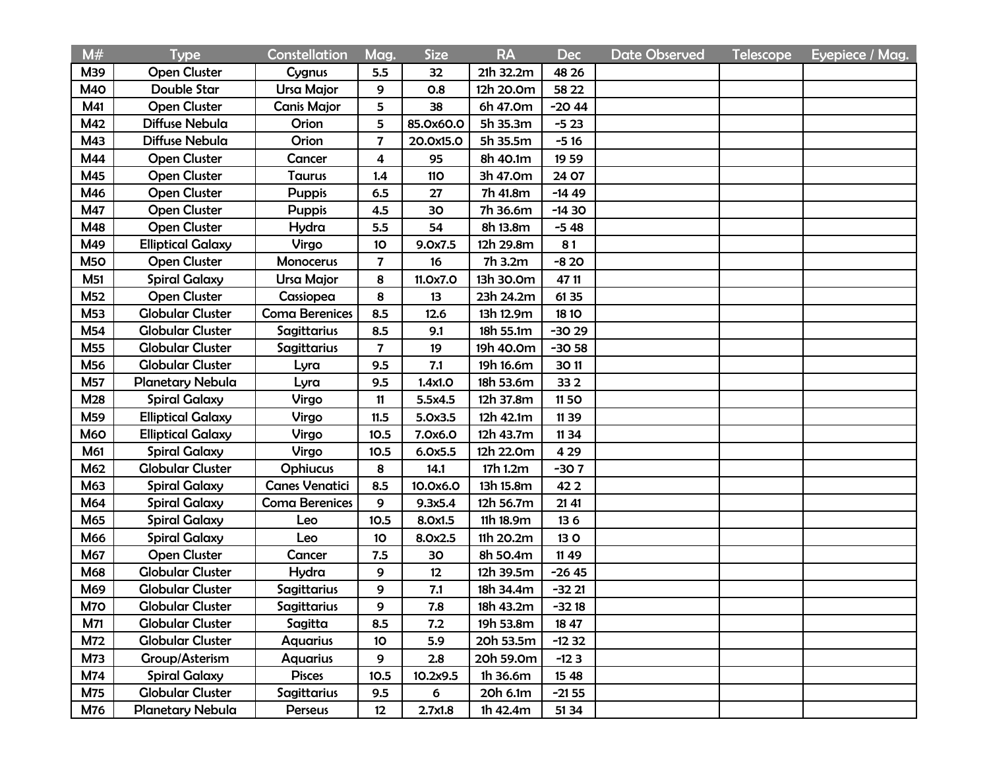| M#              | <b>Type</b>              | Constellation         | Mag.                    | <b>Size</b> | <b>RA</b> | <b>Dec</b>  | <b>Date Observed</b> | <b>Telescope</b> | Eyepiece / Mag. |
|-----------------|--------------------------|-----------------------|-------------------------|-------------|-----------|-------------|----------------------|------------------|-----------------|
| M39             | <b>Open Cluster</b>      | Cygnus                | 5.5                     | 32          | 21h 32.2m | 48 26       |                      |                  |                 |
| <b>M40</b>      | Double Star              | <b>Ursa Major</b>     | 9                       | 0.8         | 12h 20.0m | 58 22       |                      |                  |                 |
| M41             | <b>Open Cluster</b>      | <b>Canis Major</b>    | 5                       | 38          | 6h 47.0m  | $-2044$     |                      |                  |                 |
| M42             | Diffuse Nebula           | Orion                 | 5                       | 85.0x60.0   | 5h 35.3m  | $-523$      |                      |                  |                 |
| M43             | Diffuse Nebula           | Orion                 | $\overline{\mathbf{z}}$ | 20.0x15.0   | 5h 35.5m  | $-516$      |                      |                  |                 |
| M44             | <b>Open Cluster</b>      | Cancer                | 4                       | 95          | 8h 40.1m  | 19 59       |                      |                  |                 |
| M45             | <b>Open Cluster</b>      | Taurus                | 1.4                     | <b>110</b>  | 3h 47.0m  | 24 07       |                      |                  |                 |
| M46             | <b>Open Cluster</b>      | <b>Puppis</b>         | 6.5                     | 27          | 7h 41.8m  | $-1449$     |                      |                  |                 |
| M47             | <b>Open Cluster</b>      | <b>Puppis</b>         | 4.5                     | 30          | 7h 36.6m  | $-1430$     |                      |                  |                 |
| M48             | <b>Open Cluster</b>      | Hydra                 | 5.5                     | 54          | 8h 13.8m  | $-548$      |                      |                  |                 |
| M49             | <b>Elliptical Galaxy</b> | Virgo                 | 10                      | 9.0x7.5     | 12h 29.8m | 81          |                      |                  |                 |
| M <sub>50</sub> | <b>Open Cluster</b>      | Monocerus             | $\overline{7}$          | 16          | 7h 3.2m   | $-820$      |                      |                  |                 |
| <b>M51</b>      | <b>Spiral Galaxy</b>     | Ursa Major            | 8                       | 11.0x7.0    | 13h 30.0m | 47 11       |                      |                  |                 |
| <b>M52</b>      | <b>Open Cluster</b>      | Cassiopea             | 8                       | 13          | 23h 24.2m | 61 35       |                      |                  |                 |
| M53             | <b>Globular Cluster</b>  | <b>Coma Berenices</b> | 8.5                     | 12.6        | 13h 12.9m | <b>1810</b> |                      |                  |                 |
| M54             | <b>Globular Cluster</b>  | <b>Sagittarius</b>    | 8.5                     | 9.1         | 18h 55.1m | $-3029$     |                      |                  |                 |
| M55             | <b>Globular Cluster</b>  | Sagittarius           | $\overline{7}$          | 19          | 19h 40.0m | $-30.58$    |                      |                  |                 |
| M56             | <b>Globular Cluster</b>  | Lyra                  | 9.5                     | 7.1         | 19h 16.6m | 3011        |                      |                  |                 |
| <b>M57</b>      | Planetary Nebula         | Lyra                  | 9.5                     | 1.4x1.0     | 18h 53.6m | 33 2        |                      |                  |                 |
| M28             | <b>Spiral Galaxy</b>     | Virgo                 | 11                      | 5.5x4.5     | 12h 37.8m | 1150        |                      |                  |                 |
| M59             | <b>Elliptical Galaxy</b> | Virgo                 | 11.5                    | 5.0x3.5     | 12h 42.1m | 11 39       |                      |                  |                 |
| <b>M60</b>      | <b>Elliptical Galaxy</b> | Virgo                 | 10.5                    | 7.0x6.0     | 12h 43.7m | 11 34       |                      |                  |                 |
| M61             | <b>Spiral Galaxy</b>     | Virgo                 | 10.5                    | 6.0x5.5     | 12h 22.0m | 4 2 9       |                      |                  |                 |
| M62             | <b>Globular Cluster</b>  | <b>Ophiucus</b>       | 8                       | 14.1        | 17h 1.2m  | $-307$      |                      |                  |                 |
| M63             | <b>Spiral Galaxy</b>     | <b>Canes Venatici</b> | 8.5                     | 10.0x6.0    | 13h 15.8m | 422         |                      |                  |                 |
| M64             | <b>Spiral Galaxy</b>     | <b>Coma Berenices</b> | 9                       | 9.3x5.4     | 12h 56.7m | 21 41       |                      |                  |                 |
| M65             | <b>Spiral Galaxy</b>     | Leo                   | 10.5                    | 8.0x1.5     | 11h 18.9m | 136         |                      |                  |                 |
| M66             | <b>Spiral Galaxy</b>     | Leo                   | 10                      | 8.0x2.5     | 11h 20.2m | 13 O        |                      |                  |                 |
| <b>M67</b>      | <b>Open Cluster</b>      | Cancer                | 7.5                     | 30          | 8h 50.4m  | 11 49       |                      |                  |                 |
| <b>M68</b>      | <b>Globular Cluster</b>  | Hydra                 | 9                       | 12          | 12h 39.5m | $-2645$     |                      |                  |                 |
| M69             | <b>Globular Cluster</b>  | Sagittarius           | 9                       | 7.1         | 18h 34.4m | $-32.21$    |                      |                  |                 |
| M70             | <b>Globular Cluster</b>  | Sagittarius           | 9                       | 7.8         | 18h 43.2m | $-3218$     |                      |                  |                 |
| M71             | <b>Globular Cluster</b>  | Sagitta               | 8.5                     | 7.2         | 19h 53.8m | 1847        |                      |                  |                 |
| M72             | <b>Globular Cluster</b>  | <b>Aquarius</b>       | 10                      | 5.9         | 20h 53.5m | $-1232$     |                      |                  |                 |
| <b>M73</b>      | Group/Asterism           | <b>Aquarius</b>       | 9                       | 2.8         | 20h 59.0m | $-123$      |                      |                  |                 |
| M74             | <b>Spiral Galaxy</b>     | <b>Pisces</b>         | 10.5                    | 10.2x9.5    | 1h 36.6m  | 15 48       |                      |                  |                 |
| <b>M75</b>      | <b>Globular Cluster</b>  | Sagittarius           | 9.5                     | 6           | 20h 6.1m  | $-2155$     |                      |                  |                 |
| <b>M76</b>      | <b>Planetary Nebula</b>  | Perseus               | 12                      | 2.7x1.8     | 1h 42.4m  | 51 34       |                      |                  |                 |